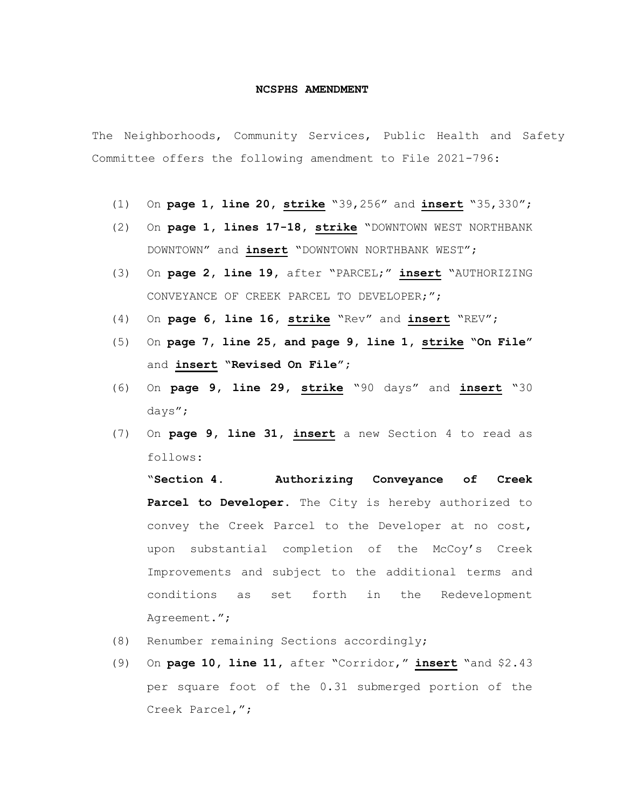## **NCSPHS AMENDMENT**

The Neighborhoods, Community Services, Public Health and Safety Committee offers the following amendment to File 2021-796:

- (1) On **page 1, line 20, strike** "39,256" and **insert** "35,330";
- (2) On **page 1, lines 17-18, strike** "DOWNTOWN WEST NORTHBANK DOWNTOWN" and **insert** "DOWNTOWN NORTHBANK WEST";
- (3) On **page 2, line 19,** after "PARCEL;" **insert** "AUTHORIZING CONVEYANCE OF CREEK PARCEL TO DEVELOPER;";
- (4) On **page 6, line 16, strike** "Rev" and **insert** "REV";
- (5) On **page 7, line 25, and page 9, line 1, strike "On File"**  and **insert "Revised On File";**
- (6) On **page 9, line 29, strike** "90 days" and **insert** "30 days";
- (7) On **page 9, line 31, insert** a new Section 4 to read as follows:

"**Section 4. Authorizing Conveyance of Creek Parcel to Developer.** The City is hereby authorized to convey the Creek Parcel to the Developer at no cost, upon substantial completion of the McCoy's Creek Improvements and subject to the additional terms and conditions as set forth in the Redevelopment Agreement.";

- (8) Renumber remaining Sections accordingly;
- (9) On **page 10, line 11,** after "Corridor," **insert** "and \$2.43 per square foot of the 0.31 submerged portion of the Creek Parcel,";